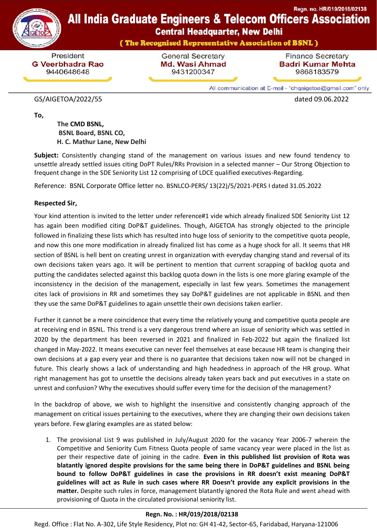



**Central Headquarter, New Delhi** 

(The Recognised Representative Association of BSNL)

President **G Veerbhadra Rao** 9440648648

**General Secretary** Md. Wasi Ahmad 9431200347

**Finance Secretary Badri Kumar Mehta** 9868183579

All communication at E-mail - "chqaigetoa@gmail.com" only

## GS/AIGETOA/2022/55 dated 09.06.2022

**To,**

 **[The](https://www.bsnl.co.in/opencms/bsnl/BSNL/about_us/company/arvind_vdr.html) CMD BSNL, BSNL Board, BSNL CO, H. C. Mathur Lane, New Delhi**

**Subject:** Consistently changing stand of the management on various issues and new found tendency to unsettle already settled issues citing DoPT Rules/RRs Provision in a selected manner – Our Strong Objection to frequent change in the SDE Seniority List 12 comprising of LDCE qualified executives-Regarding.

Reference: BSNL Corporate Office letter no. BSNLCO-PERS/ 13(22)/5/2021-PERS I dated 31.05.2022

## **Respected Sir,**

Your kind attention is invited to the letter under reference#1 vide which already finalized SDE Seniority List 12 has again been modified citing DoP&T guidelines. Though, AIGETOA has strongly objected to the principle followed in finalizing these lists which has resulted into huge loss of seniority to the competitive quota people, and now this one more modification in already finalized list has come as a huge shock for all. It seems that HR section of BSNL is hell bent on creating unrest in organization with everyday changing stand and reversal of its own decisions taken years ago. It will be pertinent to mention that current scrapping of backlog quota and putting the candidates selected against this backlog quota down in the lists is one more glaring example of the inconsistency in the decision of the management, especially in last few years. Sometimes the management cites lack of provisions in RR and sometimes they say DoP&T guidelines are not applicable in BSNL and then they use the same DoP&T guidelines to again unsettle their own decisions taken earlier.

Further it cannot be a mere coincidence that every time the relatively young and competitive quota people are at receiving end in BSNL. This trend is a very dangerous trend where an issue of seniority which was settled in 2020 by the department has been reversed in 2021 and finalized in Feb-2022 but again the finalized list changed in May-2022. It means executive can never feel themselves at ease because HR team is changing their own decisions at a gap every year and there is no guarantee that decisions taken now will not be changed in future. This clearly shows a lack of understanding and high headedness in approach of the HR group. What right management has got to unsettle the decisions already taken years back and put executives in a state on unrest and confusion? Why the executives should suffer every time for the decision of the management?

In the backdrop of above, we wish to highlight the insensitive and consistently changing approach of the management on critical issues pertaining to the executives, where they are changing their own decisions taken years before. Few glaring examples are as stated below:

1. The provisional List 9 was published in July/August 2020 for the vacancy Year 2006-7 wherein the Competitive and Seniority Cum Fitness Quota people of same vacancy year were placed in the list as per their respective date of joining in the cadre. **Even in this published list provision of Rota was blatantly ignored despite provisions for the same being there in DoP&T guidelines and BSNL being bound to follow DoP&T guidelines in case the provisions in RR doesn't exist meaning DoP&T guidelines will act as Rule in such cases where RR Doesn't provide any explicit provisions in the matter.** Despite such rules in force, management blatantly ignored the Rota Rule and went ahead with provisioning of Quota in the circulated provisional seniority list.

## **Regn. No. : HR/019/2018/02138**

Regd. Office : Flat No. A-302, Life Style Residency, Plot no: GH 41-42, Sector-65, Faridabad, Haryana-121006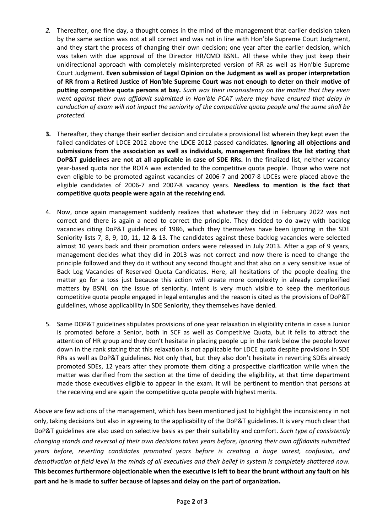- *2.* Thereafter, one fine day, a thought comes in the mind of the management that earlier decision taken by the same section was not at all correct and was not in line with Hon'ble Supreme Court Judgment, and they start the process of changing their own decision; one year after the earlier decision, which was taken with due approval of the Director HR/CMD BSNL. All these while they just keep their unidirectional approach with completely misinterpreted version of RR as well as Hon'ble Supreme Court Judgment. **Even submission of Legal Opinion on the Judgment as well as proper interpretation of RR from a Retired Justice of Hon'ble Supreme Court was not enough to deter on their motive of putting competitive quota persons at bay.** *Such was their inconsistency on the matter that they even went against their own affidavit submitted in Hon'ble PCAT where they have ensured that delay in conduction of exam will not impact the seniority of the competitive quota people and the same shall be protected.*
- **3.** Thereafter, they change their earlier decision and circulate a provisional list wherein they kept even the failed candidates of LDCE 2012 above the LDCE 2012 passed candidates. **Ignoring all objections and submissions from the association as well as individuals, management finalizes the list stating that DoP&T guidelines are not at all applicable in case of SDE RRs.** In the finalized list, neither vacancy year-based quota nor the ROTA was extended to the competitive quota people. Those who were not even eligible to be promoted against vacancies of 2006-7 and 2007-8 LDCEs were placed above the eligible candidates of 2006-7 and 2007-8 vacancy years. **Needless to mention is the fact that competitive quota people were again at the receiving end.**
- 4. Now, once again management suddenly realizes that whatever they did in February 2022 was not correct and there is again a need to correct the principle. They decided to do away with backlog vacancies citing DoP&T guidelines of 1986, which they themselves have been ignoring in the SDE Seniority lists 7, 8, 9, 10, 11, 12 & 13. The candidates against these backlog vacancies were selected almost 10 years back and their promotion orders were released in July 2013. After a gap of 9 years, management decides what they did in 2013 was not correct and now there is need to change the principle followed and they do it without any second thought and that also on a very sensitive issue of Back Log Vacancies of Reserved Quota Candidates. Here, all hesitations of the people dealing the matter go for a toss just because this action will create more complexity in already complexified matters by BSNL on the issue of seniority. Intent is very much visible to keep the meritorious competitive quota people engaged in legal entangles and the reason is cited as the provisions of DoP&T guidelines, whose applicability in SDE Seniority, they themselves have denied.
- 5. Same DOP&T guidelines stipulates provisions of one year relaxation in eligibility criteria in case a Junior is promoted before a Senior, both in SCF as well as Competitive Quota, but it fells to attract the attention of HR group and they don't hesitate in placing people up in the rank below the people lower down in the rank stating that this relaxation is not applicable for LDCE quota despite provisions in SDE RRs as well as DoP&T guidelines. Not only that, but they also don't hesitate in reverting SDEs already promoted SDEs, 12 years after they promote them citing a prospective clarification while when the matter was clarified from the section at the time of deciding the eligibility, at that time department made those executives eligible to appear in the exam. It will be pertinent to mention that persons at the receiving end are again the competitive quota people with highest merits.

Above are few actions of the management, which has been mentioned just to highlight the inconsistency in not only, taking decisions but also in agreeing to the applicability of the DoP&T guidelines. It is very much clear that DoP&T guidelines are also used on selective basis as per their suitability and comfort. *Such type of consistently changing stands and reversal of their own decisions taken years before, ignoring their own affidavits submitted years before, reverting candidates promoted years before is creating a huge unrest, confusion, and demotivation at field level in the minds of all executives and their belief in system is completely shattered now.* **This becomes furthermore objectionable when the executive is left to bear the brunt without any fault on his part and he is made to suffer because of lapses and delay on the part of organization.**